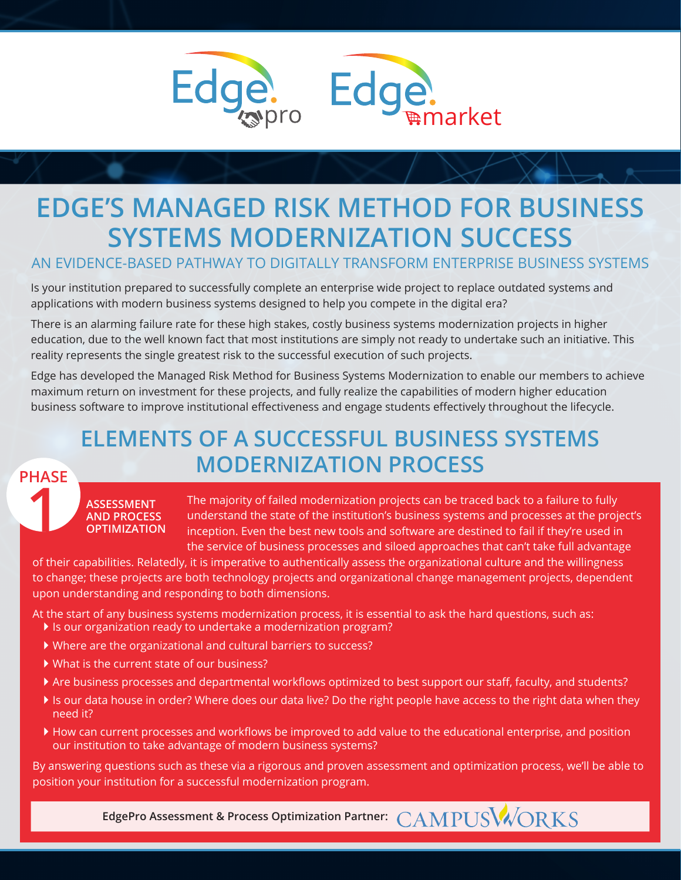

## **EDGE'S MANAGED RISK METHOD FOR BUSINESS SYSTEMS MODERNIZATION SUCCESS**

AN EVIDENCE-BASED PATHWAY TO DIGITALLY TRANSFORM ENTERPRISE BUSINESS SYSTEMS

Is your institution prepared to successfully complete an enterprise wide project to replace outdated systems and applications with modern business systems designed to help you compete in the digital era?

There is an alarming failure rate for these high stakes, costly business systems modernization projects in higher education, due to the well known fact that most institutions are simply not ready to undertake such an initiative. This reality represents the single greatest risk to the successful execution of such projects.

Edge has developed the Managed Risk Method for Business Systems Modernization to enable our members to achieve maximum return on investment for these projects, and fully realize the capabilities of modern higher education business software to improve institutional effectiveness and engage students effectively throughout the lifecycle.

## **ELEMENTS OF A SUCCESSFUL BUSINESS SYSTEMS MODERNIZATION PROCESS**

## **1 PHASE**

**ASSESSMENT AND PROCESS OPTIMIZATION** The majority of failed modernization projects can be traced back to a failure to fully understand the state of the institution's business systems and processes at the project's inception. Even the best new tools and software are destined to fail if they're used in the service of business processes and siloed approaches that can't take full advantage

of their capabilities. Relatedly, it is imperative to authentically assess the organizational culture and the willingness to change; these projects are both technology projects and organizational change management projects, dependent upon understanding and responding to both dimensions.

At the start of any business systems modernization process, it is essential to ask the hard questions, such as:

- If is our organization ready to undertake a modernization program?
- Where are the organizational and cultural barriers to success?
- What is the current state of our business?
- Are business processes and departmental workflows optimized to best support our staff, faculty, and students?
- If is our data house in order? Where does our data live? Do the right people have access to the right data when they need it?
- How can current processes and workflows be improved to add value to the educational enterprise, and position our institution to take advantage of modern business systems?

By answering questions such as these via a rigorous and proven assessment and optimization process, we'll be able to position your institution for a successful modernization program.

**EdgePro Assessment & Process Optimization Partner:**